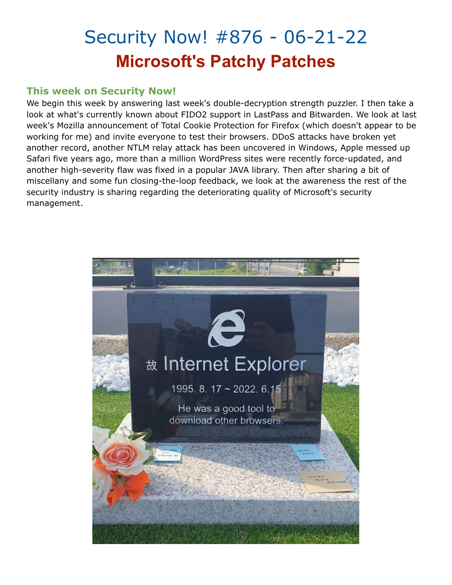## Security Now! #876 - 06-21-22 **Microsoft's Patchy Patches**

#### **This week on Security Now!**

We begin this week by answering last week's double-decryption strength puzzler. I then take a look at what's currently known about FIDO2 support in LastPass and Bitwarden. We look at last week's Mozilla announcement of Total Cookie Protection for Firefox (which doesn't appear to be working for me) and invite everyone to test their browsers. DDoS attacks have broken yet another record, another NTLM relay attack has been uncovered in Windows, Apple messed up Safari five years ago, more than a million WordPress sites were recently force-updated, and another high-severity flaw was fixed in a popular JAVA library. Then after sharing a bit of miscellany and some fun closing-the-loop feedback, we look at the awareness the rest of the security industry is sharing regarding the deteriorating quality of Microsoft's security management.

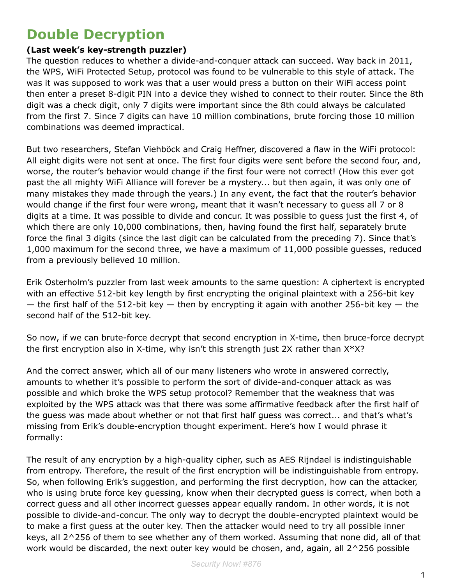### **Double Decryption**

#### **(Last week's key-strength puzzler)**

The question reduces to whether a divide-and-conquer attack can succeed. Way back in 2011, the WPS, WiFi Protected Setup, protocol was found to be vulnerable to this style of attack. The was it was supposed to work was that a user would press a button on their WiFi access point then enter a preset 8-digit PIN into a device they wished to connect to their router. Since the 8th digit was a check digit, only 7 digits were important since the 8th could always be calculated from the first 7. Since 7 digits can have 10 million combinations, brute forcing those 10 million combinations was deemed impractical.

But two researchers, Stefan Viehböck and Craig Heffner, discovered a flaw in the WiFi protocol: All eight digits were not sent at once. The first four digits were sent before the second four, and, worse, the router's behavior would change if the first four were not correct! (How this ever got past the all mighty WiFi Alliance will forever be a mystery... but then again, it was only one of many mistakes they made through the years.) In any event, the fact that the router's behavior would change if the first four were wrong, meant that it wasn't necessary to guess all 7 or 8 digits at a time. It was possible to divide and concur. It was possible to guess just the first 4, of which there are only 10,000 combinations, then, having found the first half, separately brute force the final 3 digits (since the last digit can be calculated from the preceding 7). Since that's 1,000 maximum for the second three, we have a maximum of 11,000 possible guesses, reduced from a previously believed 10 million.

Erik Osterholm's puzzler from last week amounts to the same question: A ciphertext is encrypted with an effective 512-bit key length by first encrypting the original plaintext with a 256-bit key  $-$  the first half of the 512-bit key  $-$  then by encrypting it again with another 256-bit key  $-$  the second half of the 512-bit key.

So now, if we can brute-force decrypt that second encryption in X-time, then bruce-force decrypt the first encryption also in X-time, why isn't this strength just 2X rather than X\*X?

And the correct answer, which all of our many listeners who wrote in answered correctly, amounts to whether it's possible to perform the sort of divide-and-conquer attack as was possible and which broke the WPS setup protocol? Remember that the weakness that was exploited by the WPS attack was that there was some affirmative feedback after the first half of the guess was made about whether or not that first half guess was correct... and that's what's missing from Erik's double-encryption thought experiment. Here's how I would phrase it formally:

The result of any encryption by a high-quality cipher, such as AES Rijndael is indistinguishable from entropy. Therefore, the result of the first encryption will be indistinguishable from entropy. So, when following Erik's suggestion, and performing the first decryption, how can the attacker, who is using brute force key guessing, know when their decrypted guess is correct, when both a correct guess and all other incorrect guesses appear equally random. In other words, it is not possible to divide-and-concur. The only way to decrypt the double-encrypted plaintext would be to make a first guess at the outer key. Then the attacker would need to try all possible inner keys, all 2^256 of them to see whether any of them worked. Assuming that none did, all of that work would be discarded, the next outer key would be chosen, and, again, all 2^256 possible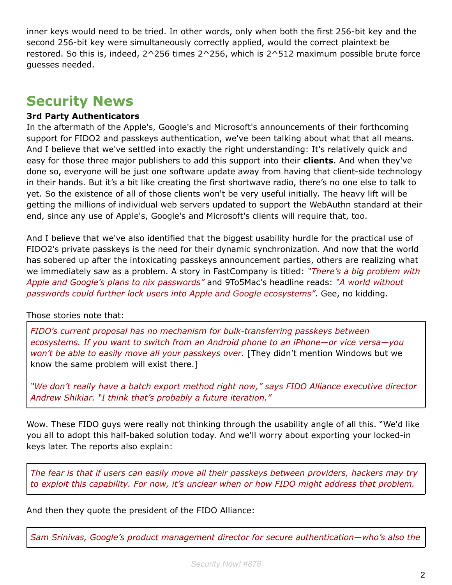inner keys would need to be tried. In other words, only when both the first 256-bit key and the second 256-bit key were simultaneously correctly applied, would the correct plaintext be restored. So this is, indeed, 2^256 times 2^256, which is 2^512 maximum possible brute force guesses needed.

### **Security News**

#### **3rd Party Authenticators**

In the aftermath of the Apple's, Google's and Microsoft's announcements of their forthcoming support for FIDO2 and passkeys authentication, we've been talking about what that all means. And I believe that we've settled into exactly the right understanding: It's relatively quick and easy for those three major publishers to add this support into their **clients**. And when they've done so, everyone will be just one software update away from having that client-side technology in their hands. But it's a bit like creating the first shortwave radio, there's no one else to talk to yet. So the existence of all of those clients won't be very useful initially. The heavy lift will be getting the millions of individual web servers updated to support the WebAuthn standard at their end, since any use of Apple's, Google's and Microsoft's clients will require that, too.

And I believe that we've also identified that the biggest usability hurdle for the practical use of FIDO2's private passkeys is the need for their dynamic synchronization. And now that the world has sobered up after the intoxicating passkeys announcement parties, others are realizing what we immediately saw as a problem. A story in FastCompany is titled: *"There's a big problem with Apple and Google's plans to nix passwords"* and 9To5Mac's headline reads: *"A world without passwords could further lock users into Apple and Google ecosystems"*. Gee, no kidding.

#### Those stories note that:

*FIDO's current proposal has no mechanism for bulk-transferring passkeys between ecosystems. If you want to switch from an Android phone to an iPhone—or vice versa—you won't be able to easily move all your passkeys over.* [They didn't mention Windows but we know the same problem will exist there.]

*"We don't really have a batch export method right now," says FIDO Alliance executive director Andrew Shikiar. "I think that's probably a future iteration."*

Wow. These FIDO guys were really not thinking through the usability angle of all this. "We'd like you all to adopt this half-baked solution today. And we'll worry about exporting your locked-in keys later. The reports also explain:

*The fear is that if users can easily move all their passkeys between providers, hackers may try to exploit this capability. For now, it's unclear when or how FIDO might address that problem.*

And then they quote the president of the FIDO Alliance:

*Sam Srinivas, Google's product management director for secure authentication—who's also the*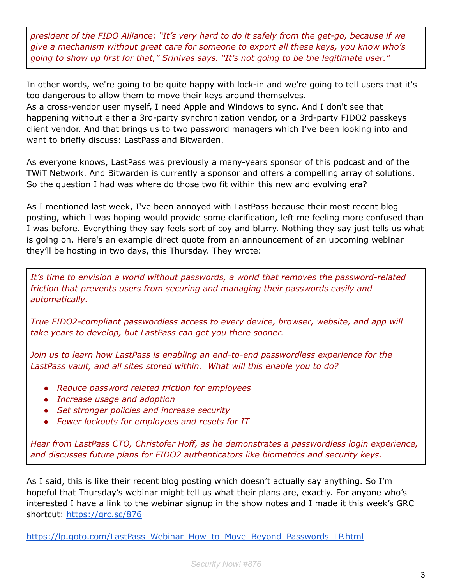*president of the FIDO Alliance: "It's very hard to do it safely from the get-go, because if we give a mechanism without great care for someone to export all these keys, you know who's going to show up first for that," Srinivas says. "It's not going to be the legitimate user."*

In other words, we're going to be quite happy with lock-in and we're going to tell users that it's too dangerous to allow them to move their keys around themselves. As a cross-vendor user myself, I need Apple and Windows to sync. And I don't see that happening without either a 3rd-party synchronization vendor, or a 3rd-party FIDO2 passkeys client vendor. And that brings us to two password managers which I've been looking into and want to briefly discuss: LastPass and Bitwarden.

As everyone knows, LastPass was previously a many-years sponsor of this podcast and of the TWiT Network. And Bitwarden is currently a sponsor and offers a compelling array of solutions. So the question I had was where do those two fit within this new and evolving era?

As I mentioned last week, I've been annoyed with LastPass because their most recent blog posting, which I was hoping would provide some clarification, left me feeling more confused than I was before. Everything they say feels sort of coy and blurry. Nothing they say just tells us what is going on. Here's an example direct quote from an announcement of an upcoming webinar they'll be hosting in two days, this Thursday. They wrote:

*It's time to envision a world without passwords, a world that removes the password-related friction that prevents users from securing and managing their passwords easily and automatically.*

*True FIDO2-compliant passwordless access to every device, browser, website, and app will take years to develop, but LastPass can get you there sooner.*

*Join us to learn how LastPass is enabling an end-to-end passwordless experience for the LastPass vault, and all sites stored within. What will this enable you to do?*

- *● Reduce password related friction for employees*
- *● Increase usage and adoption*
- *● Set stronger policies and increase security*
- *● Fewer lockouts for employees and resets for IT*

*Hear from LastPass CTO, Christofer Hoff, as he demonstrates a passwordless login experience, and discusses future plans for FIDO2 authenticators like biometrics and security keys.*

As I said, this is like their recent blog posting which doesn't actually say anything. So I'm hopeful that Thursday's webinar might tell us what their plans are, exactly. For anyone who's interested I have a link to the webinar signup in the show notes and I made it this week's GRC shortcut: <https://grc.sc/876>

[https://lp.goto.com/LastPass\\_Webinar\\_How\\_to\\_Move\\_Beyond\\_Passwords\\_LP.html](https://lp.goto.com/LastPass_Webinar_How_to_Move_Beyond_Passwords_LP.html)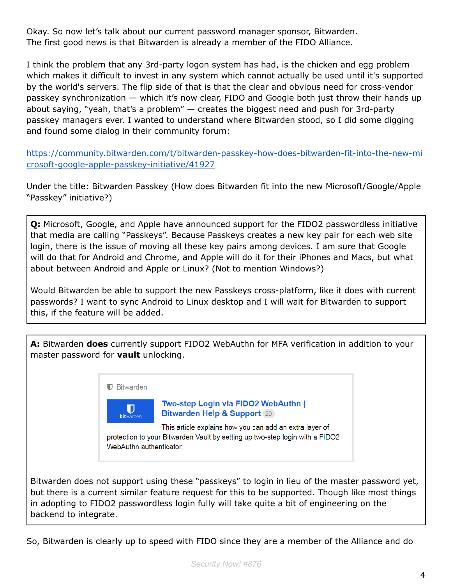Okay. So now let's talk about our current password manager sponsor, Bitwarden. The first good news is that Bitwarden is already a member of the FIDO Alliance.

I think the problem that any 3rd-party logon system has had, is the chicken and egg problem which makes it difficult to invest in any system which cannot actually be used until it's supported by the world's servers. The flip side of that is that the clear and obvious need for cross-vendor passkey synchronization — which it's now clear, FIDO and Google both just throw their hands up about saying, "yeah, that's a problem" — creates the biggest need and push for 3rd-party passkey managers ever. I wanted to understand where Bitwarden stood, so I did some digging and found some dialog in their community forum:

[https://community.bitwarden.com/t/bitwarden-passkey-how-does-bitwarden-fit-into-the-new-mi](https://community.bitwarden.com/t/bitwarden-passkey-how-does-bitwarden-fit-into-the-new-microsoft-google-apple-passkey-initiative/41927) [crosoft-google-apple-passkey-initiative/41927](https://community.bitwarden.com/t/bitwarden-passkey-how-does-bitwarden-fit-into-the-new-microsoft-google-apple-passkey-initiative/41927)

Under the title: Bitwarden Passkey (How does Bitwarden fit into the new Microsoft/Google/Apple "Passkey" initiative?)

**Q:** Microsoft, Google, and Apple have announced support for the FIDO2 passwordless initiative that media are calling "Passkeys". Because Passkeys creates a new key pair for each web site login, there is the issue of moving all these key pairs among devices. I am sure that Google will do that for Android and Chrome, and Apple will do it for their iPhones and Macs, but what about between Android and Apple or Linux? (Not to mention Windows?)

Would Bitwarden be able to support the new Passkeys cross-platform, like it does with current passwords? I want to sync Android to Linux desktop and I will wait for Bitwarden to support this, if the feature will be added.

**A:** Bitwarden **does** currently support FIDO2 WebAuthn for MFA verification in addition to your master password for **vault** unlocking.



Bitwarden does not support using these "passkeys" to login in lieu of the master password yet, but there is a current similar feature request for this to be supported. Though like most things in adopting to FIDO2 passwordless login fully will take quite a bit of engineering on the backend to integrate.

So, Bitwarden is clearly up to speed with FIDO since they are a member of the Alliance and do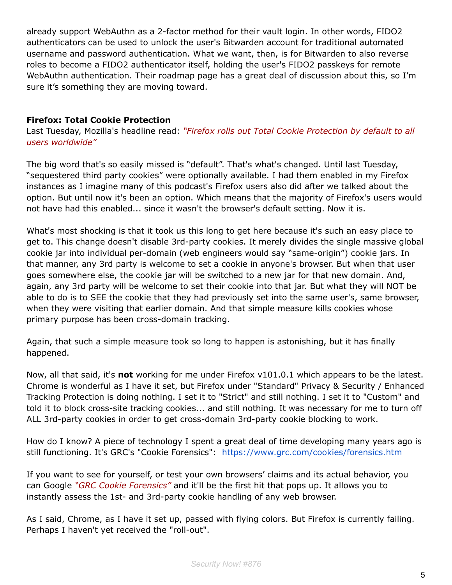already support WebAuthn as a 2-factor method for their vault login. In other words, FIDO2 authenticators can be used to unlock the user's Bitwarden account for traditional automated username and password authentication. What we want, then, is for Bitwarden to also reverse roles to become a FIDO2 authenticator itself, holding the user's FIDO2 passkeys for remote WebAuthn authentication. Their roadmap page has a great deal of discussion about this, so I'm sure it's something they are moving toward.

#### **Firefox: Total Cookie Protection**

Last Tuesday, Mozilla's headline read: *"Firefox rolls out Total Cookie Protection by default to all users worldwide"*

The big word that's so easily missed is "default". That's what's changed. Until last Tuesday, "sequestered third party cookies" were optionally available. I had them enabled in my Firefox instances as I imagine many of this podcast's Firefox users also did after we talked about the option. But until now it's been an option. Which means that the majority of Firefox's users would not have had this enabled... since it wasn't the browser's default setting. Now it is.

What's most shocking is that it took us this long to get here because it's such an easy place to get to. This change doesn't disable 3rd-party cookies. It merely divides the single massive global cookie jar into individual per-domain (web engineers would say "same-origin") cookie jars. In that manner, any 3rd party is welcome to set a cookie in anyone's browser. But when that user goes somewhere else, the cookie jar will be switched to a new jar for that new domain. And, again, any 3rd party will be welcome to set their cookie into that jar. But what they will NOT be able to do is to SEE the cookie that they had previously set into the same user's, same browser, when they were visiting that earlier domain. And that simple measure kills cookies whose primary purpose has been cross-domain tracking.

Again, that such a simple measure took so long to happen is astonishing, but it has finally happened.

Now, all that said, it's **not** working for me under Firefox v101.0.1 which appears to be the latest. Chrome is wonderful as I have it set, but Firefox under "Standard" Privacy & Security / Enhanced Tracking Protection is doing nothing. I set it to "Strict" and still nothing. I set it to "Custom" and told it to block cross-site tracking cookies... and still nothing. It was necessary for me to turn off ALL 3rd-party cookies in order to get cross-domain 3rd-party cookie blocking to work.

How do I know? A piece of technology I spent a great deal of time developing many years ago is still functioning. It's GRC's "Cookie Forensics": <https://www.grc.com/cookies/forensics.htm>

If you want to see for yourself, or test your own browsers' claims and its actual behavior, you can Google *"GRC Cookie Forensics"* and it'll be the first hit that pops up. It allows you to instantly assess the 1st- and 3rd-party cookie handling of any web browser.

As I said, Chrome, as I have it set up, passed with flying colors. But Firefox is currently failing. Perhaps I haven't yet received the "roll-out".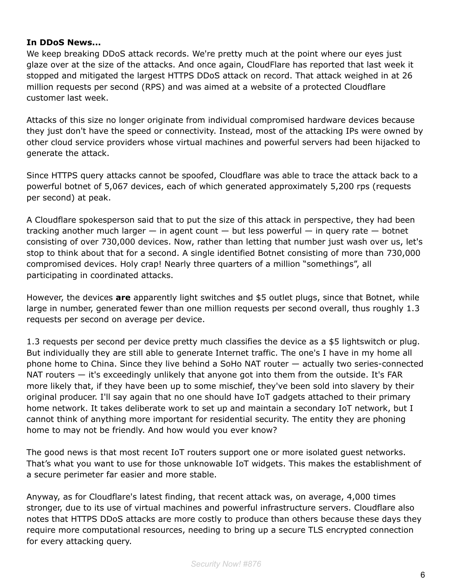#### **In DDoS News...**

We keep breaking DDoS attack records. We're pretty much at the point where our eyes just glaze over at the size of the attacks. And once again, CloudFlare has reported that last week it stopped and mitigated the largest HTTPS DDoS attack on record. That attack weighed in at 26 million requests per second (RPS) and was aimed at a website of a protected Cloudflare customer last week.

Attacks of this size no longer originate from individual compromised hardware devices because they just don't have the speed or connectivity. Instead, most of the attacking IPs were owned by other cloud service providers whose virtual machines and powerful servers had been hijacked to generate the attack.

Since HTTPS query attacks cannot be spoofed, Cloudflare was able to trace the attack back to a powerful botnet of 5,067 devices, each of which generated approximately 5,200 rps (requests per second) at peak.

A Cloudflare spokesperson said that to put the size of this attack in perspective, they had been tracking another much larger  $-$  in agent count  $-$  but less powerful  $-$  in query rate  $-$  botnet consisting of over 730,000 devices. Now, rather than letting that number just wash over us, let's stop to think about that for a second. A single identified Botnet consisting of more than 730,000 compromised devices. Holy crap! Nearly three quarters of a million "somethings", all participating in coordinated attacks.

However, the devices **are** apparently light switches and \$5 outlet plugs, since that Botnet, while large in number, generated fewer than one million requests per second overall, thus roughly 1.3 requests per second on average per device.

1.3 requests per second per device pretty much classifies the device as a \$5 lightswitch or plug. But individually they are still able to generate Internet traffic. The one's I have in my home all phone home to China. Since they live behind a SoHo NAT router — actually two series-connected NAT routers — it's exceedingly unlikely that anyone got into them from the outside. It's FAR more likely that, if they have been up to some mischief, they've been sold into slavery by their original producer. I'll say again that no one should have IoT gadgets attached to their primary home network. It takes deliberate work to set up and maintain a secondary IoT network, but I cannot think of anything more important for residential security. The entity they are phoning home to may not be friendly. And how would you ever know?

The good news is that most recent IoT routers support one or more isolated guest networks. That's what you want to use for those unknowable IoT widgets. This makes the establishment of a secure perimeter far easier and more stable.

Anyway, as for Cloudflare's latest finding, that recent attack was, on average, 4,000 times stronger, due to its use of virtual machines and powerful infrastructure servers. Cloudflare also notes that HTTPS DDoS attacks are more costly to produce than others because these days they require more computational resources, needing to bring up a secure TLS encrypted connection for every attacking query.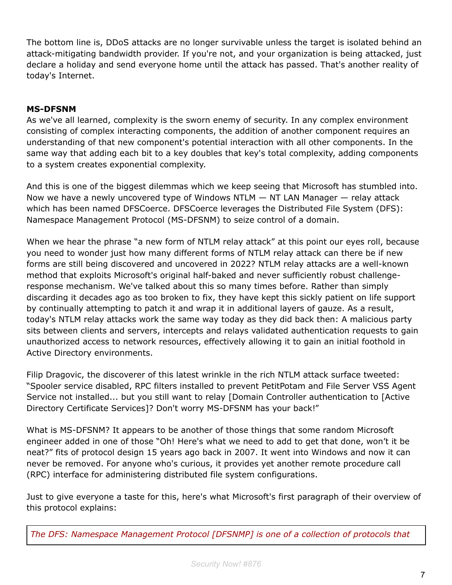The bottom line is, DDoS attacks are no longer survivable unless the target is isolated behind an attack-mitigating bandwidth provider. If you're not, and your organization is being attacked, just declare a holiday and send everyone home until the attack has passed. That's another reality of today's Internet.

#### **MS-DFSNM**

As we've all learned, complexity is the sworn enemy of security. In any complex environment consisting of complex interacting components, the addition of another component requires an understanding of that new component's potential interaction with all other components. In the same way that adding each bit to a key doubles that key's total complexity, adding components to a system creates exponential complexity.

And this is one of the biggest dilemmas which we keep seeing that Microsoft has stumbled into. Now we have a newly uncovered type of Windows NTLM — NT LAN Manager — relay attack which has been named DFSCoerce. DFSCoerce leverages the Distributed File System (DFS): Namespace Management Protocol (MS-DFSNM) to seize control of a domain.

When we hear the phrase "a new form of NTLM relay attack" at this point our eyes roll, because you need to wonder just how many different forms of NTLM relay attack can there be if new forms are still being discovered and uncovered in 2022? NTLM relay attacks are a well-known method that exploits Microsoft's original half-baked and never sufficiently robust challengeresponse mechanism. We've talked about this so many times before. Rather than simply discarding it decades ago as too broken to fix, they have kept this sickly patient on life support by continually attempting to patch it and wrap it in additional layers of gauze. As a result, today's NTLM relay attacks work the same way today as they did back then: A malicious party sits between clients and servers, intercepts and relays validated authentication requests to gain unauthorized access to network resources, effectively allowing it to gain an initial foothold in Active Directory environments.

Filip Dragovic, the discoverer of this latest wrinkle in the rich NTLM attack surface tweeted: "Spooler service disabled, RPC filters installed to prevent PetitPotam and File Server VSS Agent Service not installed... but you still want to relay [Domain Controller authentication to [Active Directory Certificate Services]? Don't worry MS-DFSNM has your back!"

What is MS-DFSNM? It appears to be another of those things that some random Microsoft engineer added in one of those "Oh! Here's what we need to add to get that done, won't it be neat?" fits of protocol design 15 years ago back in 2007. It went into Windows and now it can never be removed. For anyone who's curious, it provides yet another remote procedure call (RPC) interface for administering distributed file system configurations.

Just to give everyone a taste for this, here's what Microsoft's first paragraph of their overview of this protocol explains:

*The DFS: Namespace Management Protocol [DFSNMP] is one of a collection of protocols that*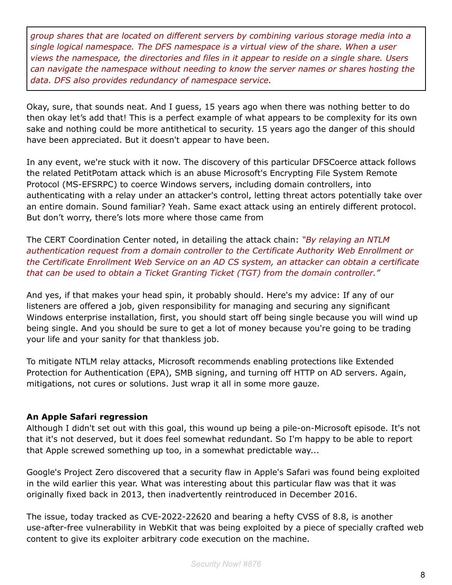*group shares that are located on different servers by combining various storage media into a single logical namespace. The DFS namespace is a virtual view of the share. When a user views the namespace, the directories and files in it appear to reside on a single share. Users can navigate the namespace without needing to know the server names or shares hosting the data. DFS also provides redundancy of namespace service.*

Okay, sure, that sounds neat. And I guess, 15 years ago when there was nothing better to do then okay let's add that! This is a perfect example of what appears to be complexity for its own sake and nothing could be more antithetical to security. 15 years ago the danger of this should have been appreciated. But it doesn't appear to have been.

In any event, we're stuck with it now. The discovery of this particular DFSCoerce attack follows the related PetitPotam attack which is an abuse Microsoft's Encrypting File System Remote Protocol (MS-EFSRPC) to coerce Windows servers, including domain controllers, into authenticating with a relay under an attacker's control, letting threat actors potentially take over an entire domain. Sound familiar? Yeah. Same exact attack using an entirely different protocol. But don't worry, there's lots more where those came from

The CERT Coordination Center noted, in detailing the attack chain: *"By relaying an NTLM authentication request from a domain controller to the Certificate Authority Web Enrollment or the Certificate Enrollment Web Service on an AD CS system, an attacker can obtain a certificate that can be used to obtain a Ticket Granting Ticket (TGT) from the domain controller."*

And yes, if that makes your head spin, it probably should. Here's my advice: If any of our listeners are offered a job, given responsibility for managing and securing any significant Windows enterprise installation, first, you should start off being single because you will wind up being single. And you should be sure to get a lot of money because you're going to be trading your life and your sanity for that thankless job.

To mitigate NTLM relay attacks, Microsoft recommends enabling protections like Extended Protection for Authentication (EPA), SMB signing, and turning off HTTP on AD servers. Again, mitigations, not cures or solutions. Just wrap it all in some more gauze.

#### **An Apple Safari regression**

Although I didn't set out with this goal, this wound up being a pile-on-Microsoft episode. It's not that it's not deserved, but it does feel somewhat redundant. So I'm happy to be able to report that Apple screwed something up too, in a somewhat predictable way...

Google's Project Zero discovered that a security flaw in Apple's Safari was found being exploited in the wild earlier this year. What was interesting about this particular flaw was that it was originally fixed back in 2013, then inadvertently reintroduced in December 2016.

The issue, today tracked as CVE-2022-22620 and bearing a hefty CVSS of 8.8, is another use-after-free vulnerability in WebKit that was being exploited by a piece of specially crafted web content to give its exploiter arbitrary code execution on the machine.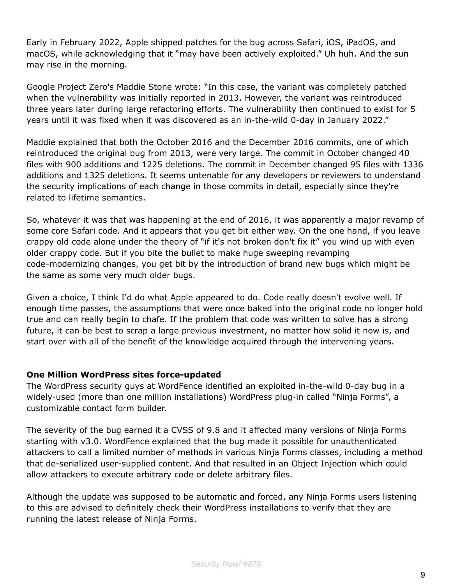Early in February 2022, Apple shipped patches for the bug across Safari, iOS, iPadOS, and macOS, while acknowledging that it "may have been actively exploited." Uh huh. And the sun may rise in the morning.

Google Project Zero's Maddie Stone wrote: "In this case, the variant was completely patched when the vulnerability was initially reported in 2013. However, the variant was reintroduced three years later during large refactoring efforts. The vulnerability then continued to exist for 5 years until it was fixed when it was discovered as an in-the-wild 0-day in January 2022."

Maddie explained that both the October 2016 and the December 2016 commits, one of which reintroduced the original bug from 2013, were very large. The commit in October changed 40 files with 900 additions and 1225 deletions. The commit in December changed 95 files with 1336 additions and 1325 deletions. It seems untenable for any developers or reviewers to understand the security implications of each change in those commits in detail, especially since they're related to lifetime semantics.

So, whatever it was that was happening at the end of 2016, it was apparently a major revamp of some core Safari code. And it appears that you get bit either way. On the one hand, if you leave crappy old code alone under the theory of "if it's not broken don't fix it" you wind up with even older crappy code. But if you bite the bullet to make huge sweeping revamping code-modernizing changes, you get bit by the introduction of brand new bugs which might be the same as some very much older bugs.

Given a choice, I think I'd do what Apple appeared to do. Code really doesn't evolve well. If enough time passes, the assumptions that were once baked into the original code no longer hold true and can really begin to chafe. If the problem that code was written to solve has a strong future, it can be best to scrap a large previous investment, no matter how solid it now is, and start over with all of the benefit of the knowledge acquired through the intervening years.

#### **One Million WordPress sites force-updated**

The WordPress security guys at WordFence identified an exploited in-the-wild 0-day bug in a widely-used (more than one million installations) WordPress plug-in called "Ninja Forms", a customizable contact form builder.

The severity of the bug earned it a CVSS of 9.8 and it affected many versions of Ninja Forms starting with v3.0. WordFence explained that the bug made it possible for unauthenticated attackers to call a limited number of methods in various Ninja Forms classes, including a method that de-serialized user-supplied content. And that resulted in an Object Injection which could allow attackers to execute arbitrary code or delete arbitrary files.

Although the update was supposed to be automatic and forced, any Ninja Forms users listening to this are advised to definitely check their WordPress installations to verify that they are running the latest release of Ninja Forms.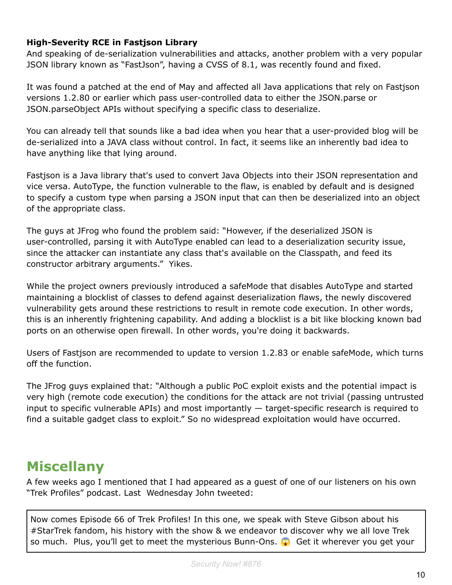#### **High-Severity RCE in Fastjson Library**

And speaking of de-serialization vulnerabilities and attacks, another problem with a very popular JSON library known as "FastJson", having a CVSS of 8.1, was recently found and fixed.

It was found a patched at the end of May and affected all Java applications that rely on Fastjson versions 1.2.80 or earlier which pass user-controlled data to either the JSON.parse or JSON.parseObject APIs without specifying a specific class to deserialize.

You can already tell that sounds like a bad idea when you hear that a user-provided blog will be de-serialized into a JAVA class without control. In fact, it seems like an inherently bad idea to have anything like that lying around.

Fastjson is a Java library that's used to convert Java Objects into their JSON representation and vice versa. AutoType, the function vulnerable to the flaw, is enabled by default and is designed to specify a custom type when parsing a JSON input that can then be deserialized into an object of the appropriate class.

The guys at JFrog who found the problem said: "However, if the deserialized JSON is user-controlled, parsing it with AutoType enabled can lead to a deserialization security issue, since the attacker can instantiate any class that's available on the Classpath, and feed its constructor arbitrary arguments." Yikes.

While the project owners previously introduced a safeMode that disables AutoType and started maintaining a blocklist of classes to defend against deserialization flaws, the newly discovered vulnerability gets around these restrictions to result in remote code execution. In other words, this is an inherently frightening capability. And adding a blocklist is a bit like blocking known bad ports on an otherwise open firewall. In other words, you're doing it backwards.

Users of Fastjson are recommended to update to version 1.2.83 or enable safeMode, which turns off the function.

The JFrog guys explained that: "Although a public PoC exploit exists and the potential impact is very high (remote code execution) the conditions for the attack are not trivial (passing untrusted input to specific vulnerable APIs) and most importantly  $-$  target-specific research is required to find a suitable gadget class to exploit." So no widespread exploitation would have occurred.

### **Miscellany**

A few weeks ago I mentioned that I had appeared as a guest of one of our listeners on his own "Trek Profiles" podcast. Last Wednesday John tweeted:

Now comes Episode 66 of Trek Profiles! In this one, we speak with Steve Gibson about his #StarTrek fandom, his history with the show & we endeavor to discover why we all love Trek so much. Plus, you'll get to meet the mysterious Bunn-Ons.  $\bullet$  Get it wherever you get your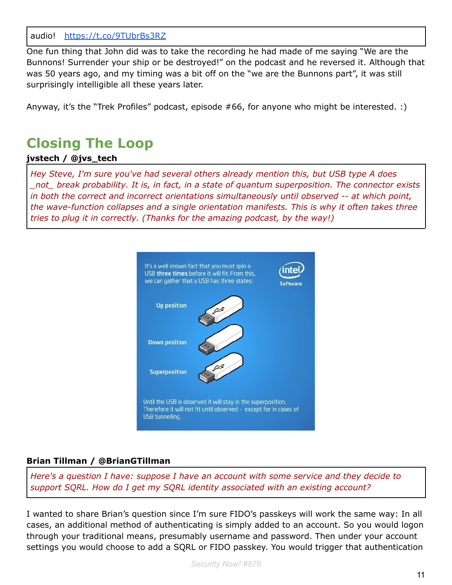audio! <https://t.co/9TUbrBs3RZ>

One fun thing that John did was to take the recording he had made of me saying "We are the Bunnons! Surrender your ship or be destroyed!" on the podcast and he reversed it. Although that was 50 years ago, and my timing was a bit off on the "we are the Bunnons part", it was still surprisingly intelligible all these years later.

Anyway, it's the "Trek Profiles" podcast, episode #66, for anyone who might be interested. :)

### **Closing The Loop**

#### **jvstech / @jvs\_tech**

*Hey Steve, I'm sure you've had several others already mention this, but USB type A does \_not\_ break probability. It is, in fact, in a state of quantum superposition. The connector exists in both the correct and incorrect orientations simultaneously until observed -- at which point, the wave-function collapses and a single orientation manifests. This is why it often takes three tries to plug it in correctly. (Thanks for the amazing podcast, by the way!)*



#### **Brian Tillman / @BrianGTillman**

*Here's a question I have: suppose I have an account with some service and they decide to support SQRL. How do I get my SQRL identity associated with an existing account?*

I wanted to share Brian's question since I'm sure FIDO's passkeys will work the same way: In all cases, an additional method of authenticating is simply added to an account. So you would logon through your traditional means, presumably username and password. Then under your account settings you would choose to add a SQRL or FIDO passkey. You would trigger that authentication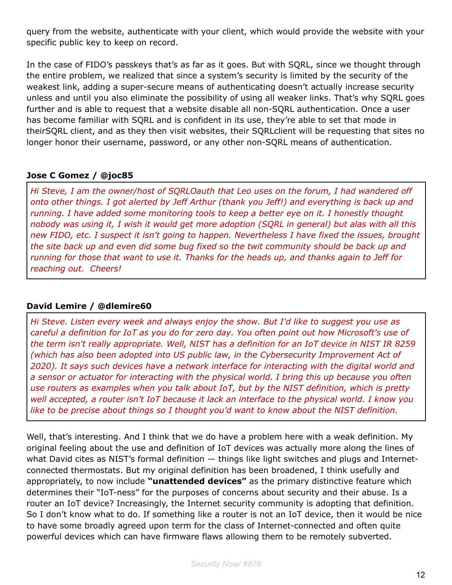query from the website, authenticate with your client, which would provide the website with your specific public key to keep on record.

In the case of FIDO's passkeys that's as far as it goes. But with SQRL, since we thought through the entire problem, we realized that since a system's security is limited by the security of the weakest link, adding a super-secure means of authenticating doesn't actually increase security unless and until you also eliminate the possibility of using all weaker links. That's why SQRL goes further and is able to request that a website disable all non-SQRL authentication. Once a user has become familiar with SQRL and is confident in its use, they're able to set that mode in theirSQRL client, and as they then visit websites, their SQRLclient will be requesting that sites no longer honor their username, password, or any other non-SQRL means of authentication.

#### **Jose C Gomez / @joc85**

*Hi Steve, I am the owner/host of SQRLOauth that Leo uses on the forum, I had wandered off onto other things. I got alerted by Jeff Arthur (thank you Jeff!) and everything is back up and running. I have added some monitoring tools to keep a better eye on it. I honestly thought nobody was using it, I wish it would get more adoption (SQRL in general) but alas with all this new FIDO, etc. I suspect it isn't going to happen. Nevertheless I have fixed the issues, brought the site back up and even did some bug fixed so the twit community should be back up and running for those that want to use it. Thanks for the heads up, and thanks again to Jeff for reaching out. Cheers!*

#### **David Lemire / @dlemire60**

*Hi Steve. Listen every week and always enjoy the show. But I'd like to suggest you use as careful a definition for IoT as you do for zero day. You often point out how Microsoft's use of the term isn't really appropriate. Well, NIST has a definition for an IoT device in NIST IR 8259 (which has also been adopted into US public law, in the Cybersecurity Improvement Act of 2020). It says such devices have a network interface for interacting with the digital world and a sensor or actuator for interacting with the physical world. I bring this up because you often use routers as examples when you talk about IoT, but by the NIST definition, which is pretty well accepted, a router isn't IoT because it lack an interface to the physical world. I know you like to be precise about things so I thought you'd want to know about the NIST definition.*

Well, that's interesting. And I think that we do have a problem here with a weak definition. My original feeling about the use and definition of IoT devices was actually more along the lines of what David cites as NIST's formal definition  $-$  things like light switches and plugs and Internetconnected thermostats. But my original definition has been broadened, I think usefully and appropriately, to now include **"unattended devices"** as the primary distinctive feature which determines their "IoT-ness" for the purposes of concerns about security and their abuse. Is a router an IoT device? Increasingly, the Internet security community is adopting that definition. So I don't know what to do. If something like a router is not an IoT device, then it would be nice to have some broadly agreed upon term for the class of Internet-connected and often quite powerful devices which can have firmware flaws allowing them to be remotely subverted.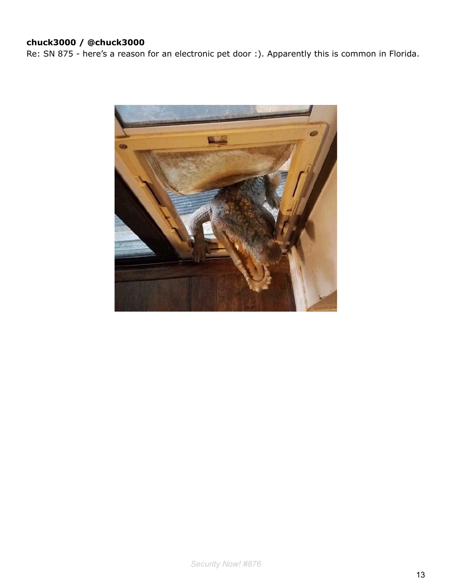#### **chuck3000 / @chuck3000**

Re: SN 875 - here's a reason for an electronic pet door :). Apparently this is common in Florida.

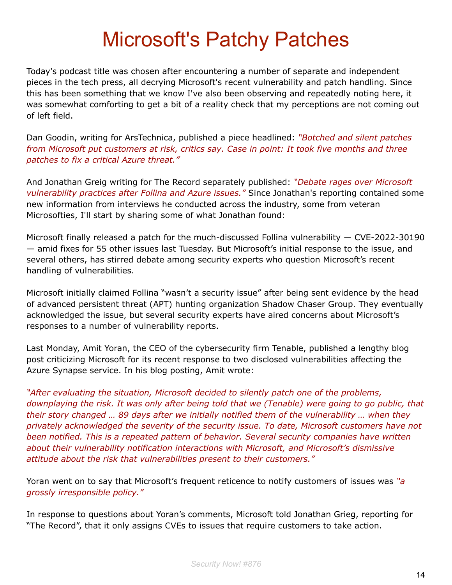# Microsoft's Patchy Patches

Today's podcast title was chosen after encountering a number of separate and independent pieces in the tech press, all decrying Microsoft's recent vulnerability and patch handling. Since this has been something that we know I've also been observing and repeatedly noting here, it was somewhat comforting to get a bit of a reality check that my perceptions are not coming out of left field.

Dan Goodin, writing for ArsTechnica, published a piece headlined: *"Botched and silent patches from Microsoft put customers at risk, critics say. Case in point: It took five months and three patches to fix a critical Azure threat."*

And Jonathan Greig writing for The Record separately published: *"Debate rages over Microsoft vulnerability practices after Follina and Azure issues."* Since Jonathan's reporting contained some new information from interviews he conducted across the industry, some from veteran Microsofties, I'll start by sharing some of what Jonathan found:

Microsoft finally released a patch for the much-discussed Follina vulnerability — CVE-2022-30190 — amid fixes for 55 other issues last Tuesday. But Microsoft's initial response to the issue, and several others, has stirred debate among security experts who question Microsoft's recent handling of vulnerabilities.

Microsoft initially claimed Follina "wasn't a security issue" after being sent evidence by the head of advanced persistent threat (APT) hunting organization Shadow Chaser Group. They eventually acknowledged the issue, but several security experts have aired concerns about Microsoft's responses to a number of vulnerability reports.

Last Monday, Amit Yoran, the CEO of the cybersecurity firm Tenable, published a lengthy blog post criticizing Microsoft for its recent response to two disclosed vulnerabilities affecting the Azure Synapse service. In his blog posting, Amit wrote:

*"After evaluating the situation, Microsoft decided to silently patch one of the problems, downplaying the risk. It was only after being told that we (Tenable) were going to go public, that their story changed … 89 days after we initially notified them of the vulnerability … when they privately acknowledged the severity of the security issue. To date, Microsoft customers have not been notified. This is a repeated pattern of behavior. Several security companies have written about their vulnerability notification interactions with Microsoft, and Microsoft's dismissive attitude about the risk that vulnerabilities present to their customers."*

Yoran went on to say that Microsoft's frequent reticence to notify customers of issues was *"a grossly irresponsible policy."*

In response to questions about Yoran's comments, Microsoft told Jonathan Grieg, reporting for "The Record", that it only assigns CVEs to issues that require customers to take action.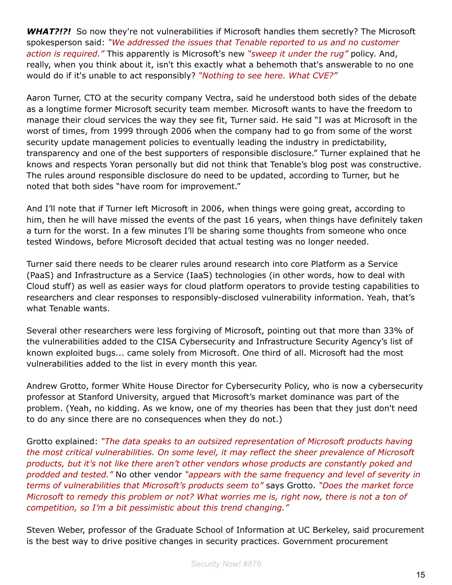**WHAT?!?!** So now they're not vulnerabilities if Microsoft handles them secretly? The Microsoft spokesperson said: *"We addressed the issues that Tenable reported to us and no customer action is required."* This apparently is Microsoft's new *"sweep it under the rug"* policy. And, really, when you think about it, isn't this exactly what a behemoth that's answerable to no one would do if it's unable to act responsibly? *"Nothing to see here. What CVE?"*

Aaron Turner, CTO at the security company Vectra, said he understood both sides of the debate as a longtime former Microsoft security team member. Microsoft wants to have the freedom to manage their cloud services the way they see fit, Turner said. He said "I was at Microsoft in the worst of times, from 1999 through 2006 when the company had to go from some of the worst security update management policies to eventually leading the industry in predictability, transparency and one of the best supporters of responsible disclosure." Turner explained that he knows and respects Yoran personally but did not think that Tenable's blog post was constructive. The rules around responsible disclosure do need to be updated, according to Turner, but he noted that both sides "have room for improvement."

And I'll note that if Turner left Microsoft in 2006, when things were going great, according to him, then he will have missed the events of the past 16 years, when things have definitely taken a turn for the worst. In a few minutes I'll be sharing some thoughts from someone who once tested Windows, before Microsoft decided that actual testing was no longer needed.

Turner said there needs to be clearer rules around research into core Platform as a Service (PaaS) and Infrastructure as a Service (IaaS) technologies (in other words, how to deal with Cloud stuff) as well as easier ways for cloud platform operators to provide testing capabilities to researchers and clear responses to responsibly-disclosed vulnerability information. Yeah, that's what Tenable wants.

Several other researchers were less forgiving of Microsoft, pointing out that more than 33% of the vulnerabilities added to the CISA Cybersecurity and Infrastructure Security Agency's list of known exploited bugs... came solely from Microsoft. One third of all. Microsoft had the most vulnerabilities added to the list in every month this year.

Andrew Grotto, former White House Director for Cybersecurity Policy, who is now a cybersecurity professor at Stanford University, argued that Microsoft's market dominance was part of the problem. (Yeah, no kidding. As we know, one of my theories has been that they just don't need to do any since there are no consequences when they do not.)

Grotto explained: *"The data speaks to an outsized representation of Microsoft products having the most critical vulnerabilities. On some level, it may reflect the sheer prevalence of Microsoft products, but it's not like there aren't other vendors whose products are constantly poked and prodded and tested."* No other vendor *"appears with the same frequency and level of severity in terms of vulnerabilities that Microsoft's products seem to"* says Grotto. *"Does the market force Microsoft to remedy this problem or not? What worries me is, right now, there is not a ton of competition, so I'm a bit pessimistic about this trend changing."*

Steven Weber, professor of the Graduate School of Information at UC Berkeley, said procurement is the best way to drive positive changes in security practices. Government procurement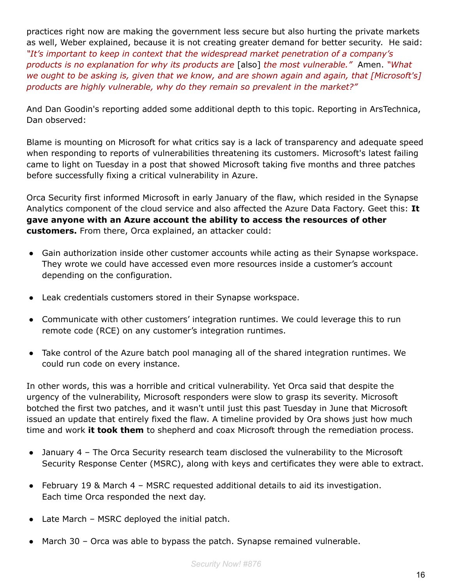practices right now are making the government less secure but also hurting the private markets as well, Weber explained, because it is not creating greater demand for better security. He said: *"It's important to keep in context that the widespread market penetration of a company's products is no explanation for why its products are* [also] *the most vulnerable."* Amen. *"What we ought to be asking is, given that we know, and are shown again and again, that [Microsoft's] products are highly vulnerable, why do they remain so prevalent in the market?"*

And Dan Goodin's reporting added some additional depth to this topic. Reporting in ArsTechnica, Dan observed:

Blame is mounting on Microsoft for what critics say is a lack of transparency and adequate speed when responding to reports of vulnerabilities threatening its customers. Microsoft's latest failing came to light on Tuesday in a post that showed Microsoft taking five months and three patches before successfully fixing a critical vulnerability in Azure.

Orca Security first informed Microsoft in early January of the flaw, which resided in the Synapse Analytics component of the cloud service and also affected the Azure Data Factory. Geet this: **It gave anyone with an Azure account the ability to access the resources of other customers.** From there, Orca explained, an attacker could:

- Gain authorization inside other customer accounts while acting as their Synapse workspace. They wrote we could have accessed even more resources inside a customer's account depending on the configuration.
- Leak credentials customers stored in their Synapse workspace.
- Communicate with other customers' integration runtimes. We could leverage this to run remote code (RCE) on any customer's integration runtimes.
- Take control of the Azure batch pool managing all of the shared integration runtimes. We could run code on every instance.

In other words, this was a horrible and critical vulnerability. Yet Orca said that despite the urgency of the vulnerability, Microsoft responders were slow to grasp its severity. Microsoft botched the first two patches, and it wasn't until just this past Tuesday in June that Microsoft issued an update that entirely fixed the flaw. A timeline provided by Ora shows just how much time and work **it took them** to shepherd and coax Microsoft through the remediation process.

- January 4 The Orca Security research team disclosed the vulnerability to the Microsoft Security Response Center (MSRC), along with keys and certificates they were able to extract.
- February 19 & March 4 MSRC requested additional details to aid its investigation. Each time Orca responded the next day.
- $\bullet$  Late March MSRC deployed the initial patch.
- March 30 Orca was able to bypass the patch. Synapse remained vulnerable.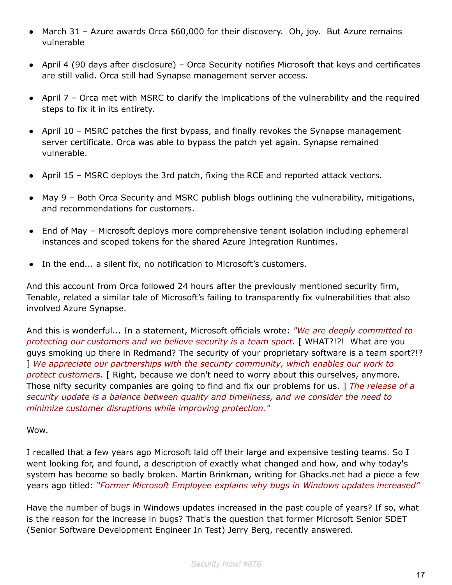- March 31 Azure awards Orca \$60,000 for their discovery. Oh, joy. But Azure remains vulnerable
- April 4 (90 days after disclosure) Orca Security notifies Microsoft that keys and certificates are still valid. Orca still had Synapse management server access.
- April 7 Orca met with MSRC to clarify the implications of the vulnerability and the required steps to fix it in its entirety.
- April 10 MSRC patches the first bypass, and finally revokes the Synapse management server certificate. Orca was able to bypass the patch yet again. Synapse remained vulnerable.
- April 15 MSRC deploys the 3rd patch, fixing the RCE and reported attack vectors.
- May 9 Both Orca Security and MSRC publish blogs outlining the vulnerability, mitigations, and recommendations for customers.
- End of May Microsoft deploys more comprehensive tenant isolation including ephemeral instances and scoped tokens for the shared Azure Integration Runtimes.
- In the end... a silent fix, no notification to Microsoft's customers.

And this account from Orca followed 24 hours after the previously mentioned security firm, Tenable, related a similar tale of Microsoft's failing to transparently fix vulnerabilities that also involved Azure Synapse.

And this is wonderful... In a statement, Microsoft officials wrote: *"We are deeply committed to protecting our customers and we believe security is a team sport.* [ WHAT?!?! What are you guys smoking up there in Redmand? The security of your proprietary software is a team sport?!? ] *We appreciate our partnerships with the security community, which enables our work to protect customers.* [ Right, because we don't need to worry about this ourselves, anymore. Those nifty security companies are going to find and fix our problems for us. ] *The release of a security update is a balance between quality and timeliness, and we consider the need to minimize customer disruptions while improving protection."*

#### Wow.

I recalled that a few years ago Microsoft laid off their large and expensive testing teams. So I went looking for, and found, a description of exactly what changed and how, and why today's system has become so badly broken. Martin Brinkman, writing for Ghacks.net had a piece a few years ago titled: *"Former Microsoft Employee explains why bugs in Windows updates increased"*

Have the number of bugs in Windows updates increased in the past couple of years? If so, what is the reason for the increase in bugs? That's the question that former Microsoft Senior SDET (Senior Software Development Engineer In Test) Jerry Berg, recently answered.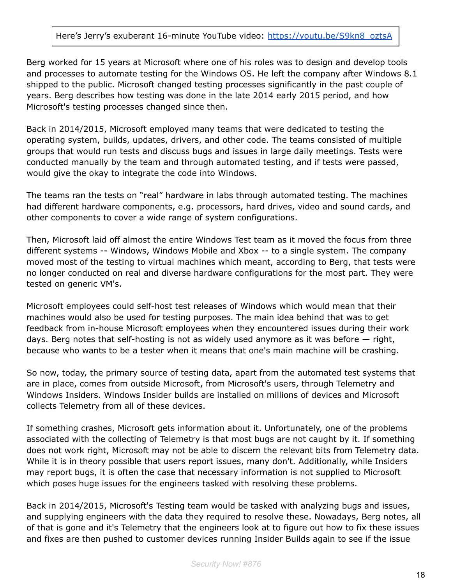#### Here's Jerry's exuberant 16-minute YouTube video: [https://youtu.be/S9kn8\\_oztsA](https://youtu.be/S9kn8_oztsA)

Berg worked for 15 years at Microsoft where one of his roles was to design and develop tools and processes to automate testing for the Windows OS. He left the company after Windows 8.1 shipped to the public. Microsoft changed testing processes significantly in the past couple of years. Berg describes how testing was done in the late 2014 early 2015 period, and how Microsoft's testing processes changed since then.

Back in 2014/2015, Microsoft employed many teams that were dedicated to testing the operating system, builds, updates, drivers, and other code. The teams consisted of multiple groups that would run tests and discuss bugs and issues in large daily meetings. Tests were conducted manually by the team and through automated testing, and if tests were passed, would give the okay to integrate the code into Windows.

The teams ran the tests on "real" hardware in labs through automated testing. The machines had different hardware components, e.g. processors, hard drives, video and sound cards, and other components to cover a wide range of system configurations.

Then, Microsoft laid off almost the entire Windows Test team as it moved the focus from three different systems -- Windows, Windows Mobile and Xbox -- to a single system. The company moved most of the testing to virtual machines which meant, according to Berg, that tests were no longer conducted on real and diverse hardware configurations for the most part. They were tested on generic VM's.

Microsoft employees could self-host test releases of Windows which would mean that their machines would also be used for testing purposes. The main idea behind that was to get feedback from in-house Microsoft employees when they encountered issues during their work days. Berg notes that self-hosting is not as widely used anymore as it was before — right, because who wants to be a tester when it means that one's main machine will be crashing.

So now, today, the primary source of testing data, apart from the automated test systems that are in place, comes from outside Microsoft, from Microsoft's users, through Telemetry and Windows Insiders. Windows Insider builds are installed on millions of devices and Microsoft collects Telemetry from all of these devices.

If something crashes, Microsoft gets information about it. Unfortunately, one of the problems associated with the collecting of Telemetry is that most bugs are not caught by it. If something does not work right, Microsoft may not be able to discern the relevant bits from Telemetry data. While it is in theory possible that users report issues, many don't. Additionally, while Insiders may report bugs, it is often the case that necessary information is not supplied to Microsoft which poses huge issues for the engineers tasked with resolving these problems.

Back in 2014/2015, Microsoft's Testing team would be tasked with analyzing bugs and issues, and supplying engineers with the data they required to resolve these. Nowadays, Berg notes, all of that is gone and it's Telemetry that the engineers look at to figure out how to fix these issues and fixes are then pushed to customer devices running Insider Builds again to see if the issue